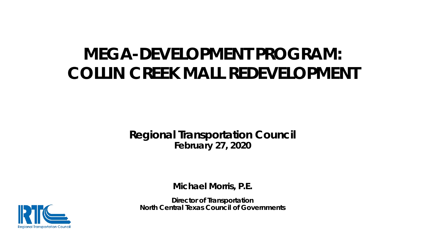## **MEGA-DEVELOPMENT PROGRAM: COLLIN CREEK MALL REDEVELOPMENT**

**Regional Transportation Council February 27, 2020**

**Michael Morris, P.E.**

**Director of Transportation North Central Texas Council of Governments** 

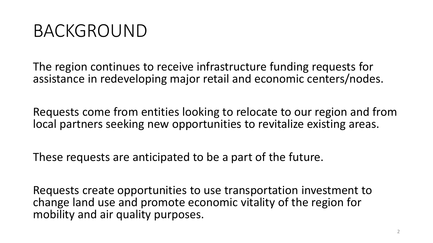# BACKGROUND

The region continues to receive infrastructure funding requests for assistance in redeveloping major retail and economic centers/nodes.

Requests come from entities looking to relocate to our region and from local partners seeking new opportunities to revitalize existing areas.

These requests are anticipated to be a part of the future.

Requests create opportunities to use transportation investment to change land use and promote economic vitality of the region for mobility and air quality purposes.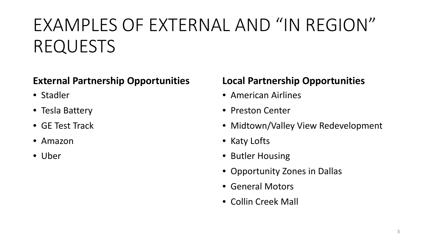# EXAMPLES OF EXTERNAL AND "IN REGION" REQUESTS

### **External Partnership Opportunities**

- Stadler
- Tesla Battery
- GE Test Track
- Amazon
- Uber

### **Local Partnership Opportunities**

- American Airlines
- Preston Center
- Midtown/Valley View Redevelopment
- Katy Lofts
- Butler Housing
- Opportunity Zones in Dallas
- General Motors
- Collin Creek Mall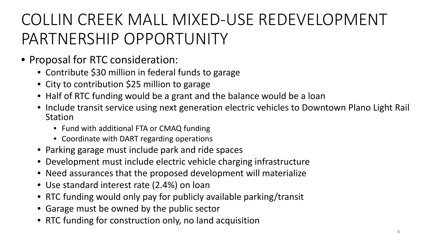# COLLIN CREEK MALL MIXED-USE REDEVELOPMENT PARTNERSHIP OPPORTUNITY

- Proposal for RTC consideration:
	- Contribute \$30 million in federal funds to garage
	- City to contribution \$25 million to garage
	- Half of RTC funding would be a grant and the balance would be a loan
	- Include transit service using next generation electric vehicles to Downtown Plano Light Rail Station
		- Fund with additional FTA or CMAQ funding
		- Coordinate with DART regarding operations
	- Parking garage must include park and ride spaces
	- Development must include electric vehicle charging infrastructure
	- Need assurances that the proposed development will materialize
	- Use standard interest rate (2.4%) on loan
	- RTC funding would only pay for publicly available parking/transit
	- Garage must be owned by the public sector
	- RTC funding for construction only, no land acquisition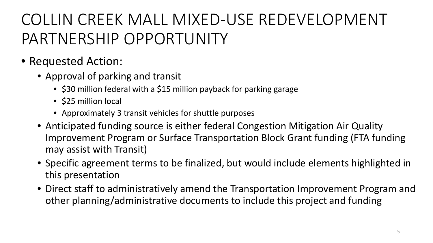# COLLIN CREEK MALL MIXED-USE REDEVELOPMENT PARTNERSHIP OPPORTUNITY

- Requested Action:
	- Approval of parking and transit
		- \$30 million federal with a \$15 million payback for parking garage
		- \$25 million local
		- Approximately 3 transit vehicles for shuttle purposes
	- Anticipated funding source is either federal Congestion Mitigation Air Quality Improvement Program or Surface Transportation Block Grant funding (FTA funding may assist with Transit)
	- Specific agreement terms to be finalized, but would include elements highlighted in this presentation
	- Direct staff to administratively amend the Transportation Improvement Program and other planning/administrative documents to include this project and funding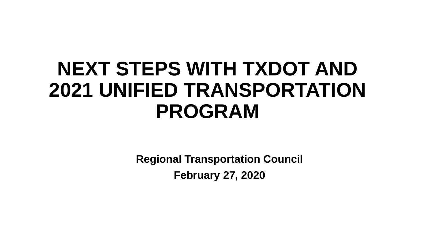# **NEXT STEPS WITH TXDOT AND 2021 UNIFIED TRANSPORTATION PROGRAM**

**Regional Transportation Council February 27, 2020**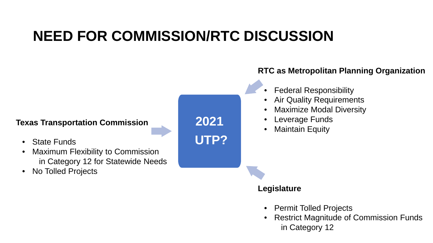### **NEED FOR COMMISSION/RTC DISCUSSION**

#### **2021 UTP? Texas Transportation Commission** • State Funds • Maximum Flexibility to Commission in Category 12 for Statewide Needs • No Tolled Projects **Legislature RTC as Metropolitan Planning Organization** • Federal Responsibility • Air Quality Requirements • Maximize Modal Diversity • Leverage Funds • Maintain Equity

- Permit Tolled Projects
- Restrict Magnitude of Commission Funds in Category 12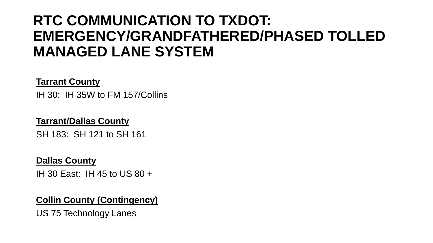### **RTC COMMUNICATION TO TXDOT: EMERGENCY/GRANDFATHERED/PHASED TOLLED MANAGED LANE SYSTEM**

#### **Tarrant County**

IH 30: IH 35W to FM 157/Collins

### **Tarrant/Dallas County**

SH 183: SH 121 to SH 161

#### **Dallas County**

IH 30 East: IH 45 to US 80 +

#### **Collin County (Contingency)**

US 75 Technology Lanes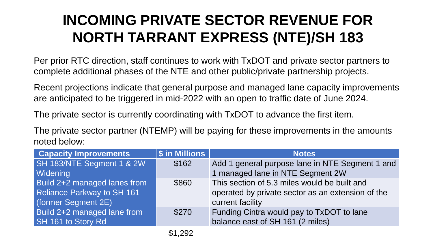### **INCOMING PRIVATE SECTOR REVENUE FOR NORTH TARRANT EXPRESS (NTE)/SH 183**

Per prior RTC direction, staff continues to work with TxDOT and private sector partners to complete additional phases of the NTE and other public/private partnership projects.

Recent projections indicate that general purpose and managed lane capacity improvements are anticipated to be triggered in mid-2022 with an open to traffic date of June 2024.

The private sector is currently coordinating with TxDOT to advance the first item.

The private sector partner (NTEMP) will be paying for these improvements in the amounts noted below:

| <b>Capacity Improvements</b> | <b>\$</b> in Millions | <b>Notes</b>                                      |
|------------------------------|-----------------------|---------------------------------------------------|
| SH 183/NTE Segment 1 & 2W    | \$162                 | Add 1 general purpose lane in NTE Segment 1 and   |
| <b>Widening</b>              |                       | 1 managed lane in NTE Segment 2W                  |
| Build 2+2 managed lanes from | \$860                 | This section of 5.3 miles would be built and      |
| Reliance Parkway to SH 161   |                       | operated by private sector as an extension of the |
| (former Segment 2E)          |                       | current facility                                  |
| Build 2+2 managed lane from  | \$270                 | Funding Cintra would pay to TxDOT to lane         |
| SH 161 to Story Rd           |                       | balance east of SH 161 (2 miles)                  |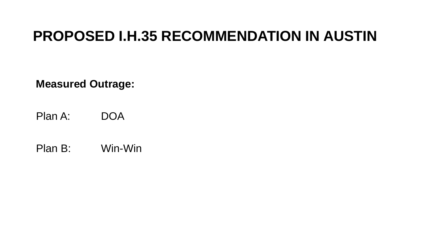### **PROPOSED I.H.35 RECOMMENDATION IN AUSTIN**

**Measured Outrage:**

Plan A: DOA

Plan B: Win-Win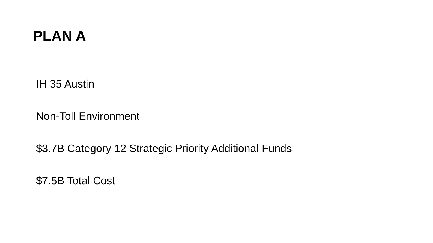### **PLAN A**

IH 35 Austin

Non-Toll Environment

\$3.7B Category 12 Strategic Priority Additional Funds

\$7.5B Total Cost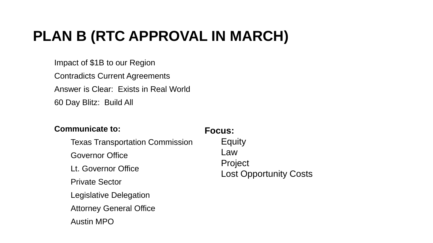### **PLAN B (RTC APPROVAL IN MARCH)**

Impact of \$1B to our Region Contradicts Current Agreements Answer is Clear: Exists in Real World 60 Day Blitz: Build All

#### **Communicate to:**

#### **Focus:**

Texas Transportation Commission Governor Office Lt. Governor Office Private Sector Legislative Delegation Attorney General Office Austin MPO

**Equity** Law Project Lost Opportunity Costs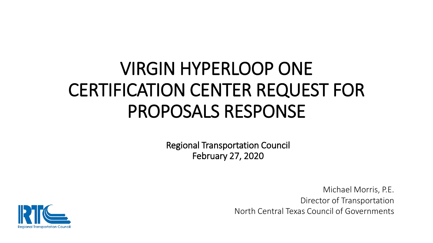# VIRGIN HYPERLOOP ONE CERTIFICATION CENTER REQUEST FOR PROPOSALS RESPONSE

Regional Transportation Council February 27, 2020

> Michael Morris, P.E. Director of Transportation North Central Texas Council of Governments

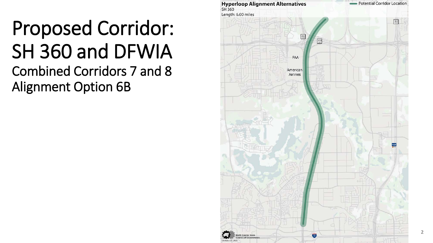# Proposed Corridor: SH 360 and DFWIA Combined Corridors 7 and 8 Alignment Option 6B



**2**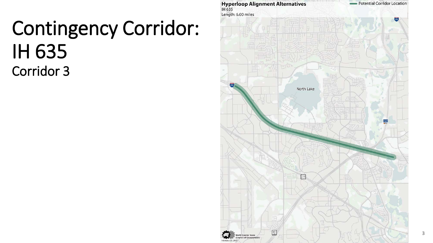# Contingency Corridor: IH 635 Corridor 3

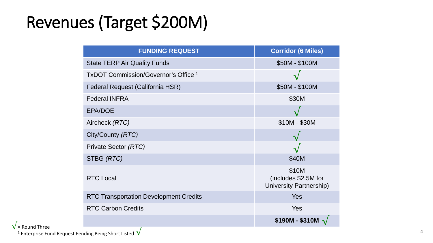# Revenues (Target \$200M)

| <b>FUNDING REQUEST</b>                          | <b>Corridor (6 Miles)</b>                                |
|-------------------------------------------------|----------------------------------------------------------|
| <b>State TERP Air Quality Funds</b>             | \$50M - \$100M                                           |
| TxDOT Commission/Governor's Office <sup>1</sup> |                                                          |
| Federal Request (California HSR)                | \$50M - \$100M                                           |
| <b>Federal INFRA</b>                            | \$30M                                                    |
| <b>EPA/DOE</b>                                  |                                                          |
| Aircheck (RTC)                                  | $$10M - $30M$                                            |
| City/County (RTC)                               |                                                          |
| Private Sector (RTC)                            |                                                          |
| STBG (RTC)                                      | \$40M                                                    |
| <b>RTC Local</b>                                | \$10M<br>(includes \$2.5M for<br>University Partnership) |
| <b>RTC Transportation Development Credits</b>   | Yes                                                      |
| <b>RTC Carbon Credits</b>                       | Yes                                                      |
|                                                 | \$190M - \$310M                                          |

 $\sqrt{\frac{1}{1}}$  Enterprise Fund Request Pending Being Short Listed  $\sqrt{\frac{1}{1}}$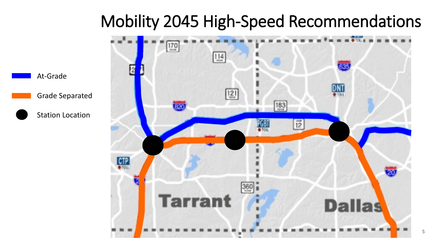## Mobility 2045 High-Speed Recommendations



At-Grade

Grade Separated

Station Location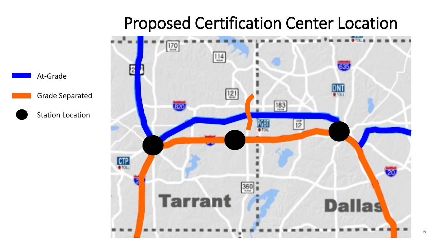## Proposed Certification Center Location



At-Grade

Grade Separated

Station Location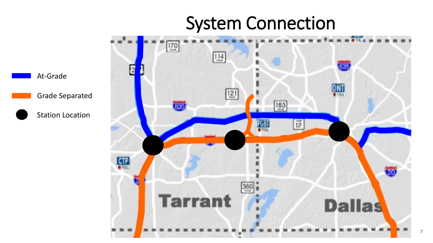# System Connection

**7**

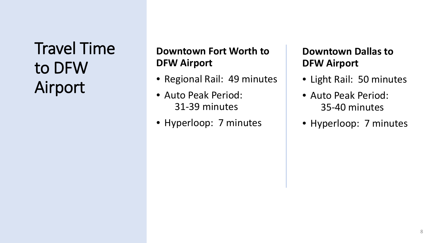## Travel Time to DFW Airport

### **Downtown Fort Worth to DFW Airport**

- Regional Rail: 49 minutes
- Auto Peak Period: 31-39 minutes
- Hyperloop: 7 minutes

### **Downtown Dallas to DFW Airport**

- Light Rail: 50 minutes
- Auto Peak Period: 35-40 minutes
- Hyperloop: 7 minutes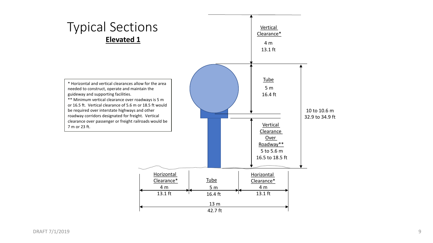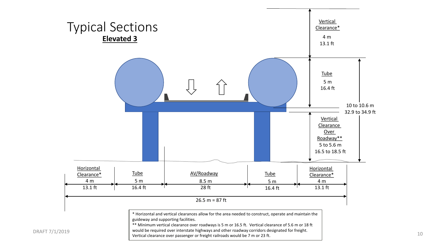